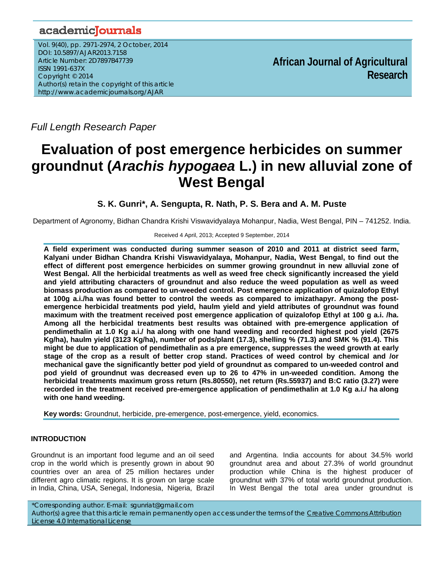## academicJournals

Vol. 9(40), pp. 2971-2974, 2 October, 2014 DOI: 10.5897/AJAR2013.7158 Article Number: 2D7897B47739 ISSN 1991-637X Copyright © 2014 Author(s) retain the copyright of this article http://www.academicjournals.org/AJAR

**African Journal of Agricultural Research**

*Full Length Research Paper*

# **Evaluation of post emergence herbicides on summer groundnut (***Arachis hypogaea* **L.) in new alluvial zone of West Bengal**

### **S. K. Gunri\*, A. Sengupta, R. Nath, P. S. Bera and A. M. Puste**

Department of Agronomy, Bidhan Chandra Krishi Viswavidyalaya Mohanpur, Nadia, West Bengal, PIN – 741252. India.

#### Received 4 April, 2013; Accepted 9 September, 2014

**A field experiment was conducted during summer season of 2010 and 2011 at district seed farm, Kalyani under Bidhan Chandra Krishi Viswavidyalaya, Mohanpur, Nadia, West Bengal, to find out the effect of different post emergence herbicides on summer growing groundnut in new alluvial zone of West Bengal. All the herbicidal treatments as well as weed free check significantly increased the yield and yield attributing characters of groundnut and also reduce the weed population as well as weed biomass production as compared to un-weeded control. Post emergence application of quizalofop Ethyl at 100g a.i./ha was found better to control the weeds as compared to imizathapyr. Among the postemergence herbicidal treatments pod yield, haulm yield and yield attributes of groundnut was found maximum with the treatment received post emergence application of quizalofop Ethyl at 100 g a.i. /ha. Among all the herbicidal treatments best results was obtained with pre-emergence application of pendimethalin at 1.0 Kg a.i./ ha along with one hand weeding and recorded highest pod yield (2675 Kg/ha), haulm yield (3123 Kg/ha), number of pods/plant (17.3), shelling % (71.3) and SMK % (91.4). This might be due to application of pendimethalin as a pre emergence, suppresses the weed growth at early stage of the crop as a result of better crop stand. Practices of weed control by chemical and /or mechanical gave the significantly better pod yield of groundnut as compared to un-weeded control and pod yield of groundnut was decreased even up to 26 to 47% in un-weeded condition. Among the herbicidal treatments maximum gross return (Rs.80550), net return (Rs.55937) and B:C ratio (3.27) were recorded in the treatment received pre-emergence application of pendimethalin at 1.0 Kg a.i./ ha along with one hand weeding.** 

**Key words:** Groundnut, herbicide, pre-emergence, post-emergence, yield, economics.

#### **INTRODUCTION**

Groundnut is an important food legume and an oil seed crop in the world which is presently grown in about 90 countries over an area of 25 million hectares under different agro climatic regions. It is grown on large scale in India, China, USA, Senegal, Indonesia, Nigeria, Brazil

and Argentina. India accounts for about 34.5% world groundnut area and about 27.3% of world groundnut production while China is the highest producer of groundnut with 37% of total world groundnut production. In West Bengal the total area under groundnut is

\*Corresponding author. E-mail: sgunriat@gmail.com

Author(s) agree that this article remain permanently open access under the terms of the Creative Commons Attribution License 4.0 International License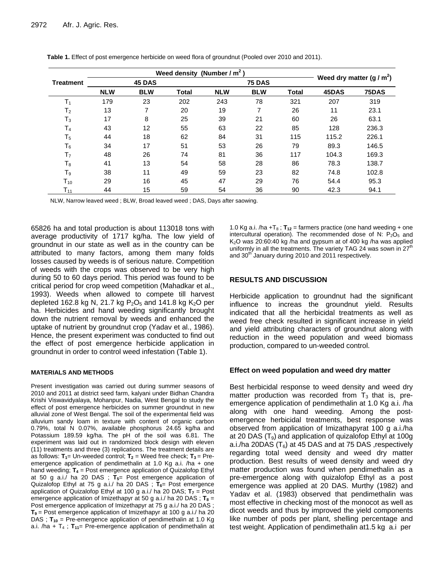|                            |            | Weed density (Number / $m2$ ) | Weed dry matter $(g/m^2)$ |            |               |              |       |       |
|----------------------------|------------|-------------------------------|---------------------------|------------|---------------|--------------|-------|-------|
| <b>Treatment</b>           | 45 DAS     |                               |                           |            | <b>75 DAS</b> |              |       |       |
|                            | <b>NLW</b> | <b>BLW</b>                    | <b>Total</b>              | <b>NLW</b> | <b>BLW</b>    | <b>Total</b> | 45DAS | 75DAS |
| $\mathsf{T}_1$             | 179        | 23                            | 202                       | 243        | 78            | 321          | 207   | 319   |
| T <sub>2</sub>             | 13         | 7                             | 20                        | 19         | ⇁             | 26           | 11    | 23.1  |
| $T_3$                      | 17         | 8                             | 25                        | 39         | 21            | 60           | 26    | 63.1  |
| T <sub>4</sub>             | 43         | 12                            | 55                        | 63         | 22            | 85           | 128   | 236.3 |
| T <sub>5</sub>             | 44         | 18                            | 62                        | 84         | 31            | 115          | 115.2 | 226.1 |
| $T_6$                      | 34         | 17                            | 51                        | 53         | 26            | 79           | 89.3  | 146.5 |
| T <sub>7</sub>             | 48         | 26                            | 74                        | 81         | 36            | 117          | 104.3 | 169.3 |
| $T_8$                      | 41         | 13                            | 54                        | 58         | 28            | 86           | 78.3  | 138.7 |
| $T_9$                      | 38         | 11                            | 49                        | 59         | 23            | 82           | 74.8  | 102.8 |
| $\mathsf{T}_{\mathtt{10}}$ | 29         | 16                            | 45                        | 47         | 29            | 76           | 54.4  | 95.3  |
| $T_{11}$                   | 44         | 15                            | 59                        | 54         | 36            | 90           | 42.3  | 94.1  |

**Table 1.** Effect of post emergence herbicide on weed flora of groundnut (Pooled over 2010 and 2011).

NLW, Narrow leaved weed ; BLW, Broad leaved weed ; DAS, Days after saowing.

65826 ha and total production is about 113018 tons with average productivity of 1717 kg/ha. The low yield of groundnut in our state as well as in the country can be attributed to many factors, among them many folds losses caused by weeds is of serious nature. Competition of weeds with the crops was observed to be very high during 50 to 60 days period. This period was found to be critical period for crop weed competition (Mahadkar et al., 1993). Weeds when allowed to compete till harvest depleted 162.8 kg N, 21.7 kg  $P_2O_5$  and 141.8 kg K<sub>2</sub>O per ha. Herbicides and hand weeding significantly brought down the nutrient removal by weeds and enhanced the uptake of nutrient by groundnut crop (Yadav et al., 1986). Hence, the present experiment was conducted to find out the effect of post emergence herbicide application in groundnut in order to control weed infestation (Table 1).

#### **MATERIALS AND METHODS**

Present investigation was carried out during summer seasons of 2010 and 2011 at district seed farm, kalyani under Bidhan Chandra Krishi Viswavidyalaya, Mohanpur, Nadia, West Bengal to study the effect of post emergence herbicides on summer groundnut in new alluvial zone of West Bengal. The soil of the experimental field was alluvium sandy loam in texture with content of organic carbon 0.79%, total N 0.07%, available phosphorus 24.65 kg/ha and Potassium 189.59 kg/ha. The pH of the soil was 6.81. The experiment was laid out in randomized block design with eleven (11) treatments and three (3) replications. The treatment details are as follows:  $T_1$ = Un-weeded control;  $T_2$  = Weed free check;  $T_3$  = Preemergence application of pendimethalin at 1.0 Kg a.i. /ha + one hand weeding;  $T_4$  = Post emergence application of Quizalofop Ethyl at 50 g a.i./ ha 20 DAS ;  $T_{5}$  Post emergence application of Quizalofop Ethyl at 75 g a.i./ ha 20 DAS ;  $T_6$ = Post emergence application of Quizalofop Ethyl at 100 g a.i./ ha 20 DAS;  $T_7$  = Post emergence application of Imizethapyr at 50 g a.i./ ha 20 DAS;  $T_8$  = Post emergence application of Imizethapyr at 75 g a.i./ ha 20 DAS ; **T9** = Post emergence application of Imizethapyr at 100 g a.i./ ha 20 DAS ;  $T_{10}$  = Pre-emergence application of pendimethalin at 1.0 Kg a.i. /ha +  $T_4$ ;  $T_{11}$ = Pre-emergence application of pendimethalin at 1.0 Kg a.i. /ha  $+T_8$ ;  $T_{12}$  = farmers practice (one hand weeding  $+$  one intercultural operation). The recommended dose of N:  $P_2O_5$  and  $K<sub>2</sub>O$  was 20:60:40 kg /ha and gypsum at of 400 kg /ha was applied uniformly in all the treatments. The variety TAG 24 was sown in 27<sup>th</sup> and 30<sup>th</sup> January during 2010 and 2011 respectively.

#### **RESULTS AND DISCUSSION**

Herbicide application to groundnut had the significant influence to increas the groundnut yield. Results indicated that all the herbicidal treatments as well as weed free check resulted in significant increase in yield and yield attributing characters of groundnut along with reduction in the weed population and weed biomass production, compared to un-weeded control.

#### **Effect on weed population and weed dry matter**

Best herbicidal response to weed density and weed dry matter production was recorded from  $T_3$  that is, preemergence application of pendimethalin at 1.0 Kg a.i. /ha along with one hand weeding. Among the postemergence herbicidal treatments, best response was observed from application of Imizathapyrat 100 g a.i./ha at 20 DAS  $(T<sub>9</sub>)$  and application of quizalofop Ethyl at 100g a.i./ha 20DAS ( $T_6$ ) at 45 DAS and at 75 DAS , respectively regarding total weed density and weed dry matter production. Best results of weed density and weed dry matter production was found when pendimethalin as a pre-emergence along with quizalofop Ethyl as a post emergence was applied at 20 DAS. Murthy (1982) and Yadav et al. (1983) observed that pendimethalin was most effective in checking most of the monocot as well as dicot weeds and thus by improved the yield components like number of pods per plant, shelling percentage and test weight. Application of pendimethalin at1.5 kg a.i per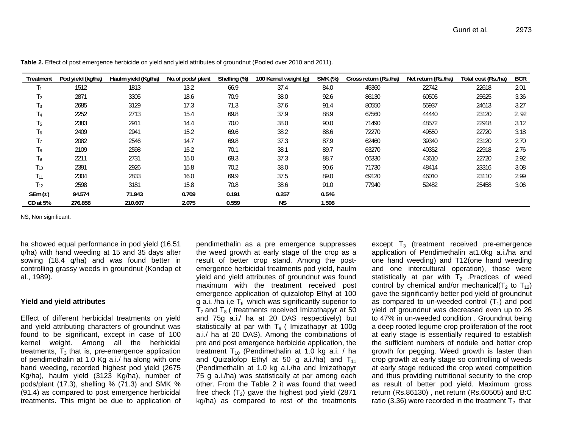| Treatment      | Pod yield (kg/ha) | Haulm yield (Kg/ha) | No.of pods/ plant | Shelling (%) | 100 Kernel weight (g) | <b>SMK (%)</b> | Gross return (Rs./ha) | Net return (Rs./ha) | Total cost (Rs./ha) | <b>BCR</b> |
|----------------|-------------------|---------------------|-------------------|--------------|-----------------------|----------------|-----------------------|---------------------|---------------------|------------|
| T <sub>1</sub> | 1512              | 1813                | 13.2              | 66.9         | 37.4                  | 84.0           | 45360                 | 22742               | 22618               | 2.01       |
| T <sub>2</sub> | 2871              | 3305                | 18.6              | 70.9         | 38.0                  | 92.6           | 86130                 | 60505               | 25625               | 3.36       |
| $T_3$          | 2685              | 3129                | 17.3              | 71.3         | 37.6                  | 91.4           | 80550                 | 55937               | 24613               | 3.27       |
| T <sub>4</sub> | 2252              | 2713                | 15.4              | 69.8         | 37.9                  | 88.9           | 67560                 | 44440               | 23120               | 2.92       |
| T <sub>5</sub> | 2383              | 2911                | 14.4              | 70.0         | 38.0                  | 90.0           | 71490                 | 48572               | 22918               | 3.12       |
| $T_6$          | 2409              | 2941                | 15.2              | 69.6         | 38.2                  | 88.6           | 72270                 | 49550               | 22720               | 3.18       |
| T <sub>7</sub> | 2082              | 2546                | 14.7              | 69.8         | 37.3                  | 87.9           | 62460                 | 39340               | 23120               | 2.70       |
| $T_8$          | 2109              | 2598                | 15.2              | 70.1         | 38.1                  | 89.7           | 63270                 | 40352               | 22918               | 2.76       |
| T9             | 2211              | 2731                | 15.0              | 69.3         | 37.3                  | 88.7           | 66330                 | 43610               | 22720               | 2.92       |
| $T_{10}$       | 2391              | 2926                | 15.8              | 70.2         | 38.0                  | 90.6           | 71730                 | 48414               | 23316               | 3.08       |
| $T_{11}$       | 2304              | 2833                | 16.0              | 69.9         | 37.5                  | 89.0           | 69120                 | 46010               | 23110               | 2.99       |
| $T_{12}$       | 2598              | 3181                | 15.8              | 70.8         | 38.6                  | 91.0           | 77940                 | 52482               | 25458               | 3.06       |
| SEm $(\pm)$    | 94.574            | 71.943              | 0.709             | 0.191        | 0.257                 | 0.546          |                       |                     |                     |            |
| CD at 5%       | 276.858           | 210.607             | 2.075             | 0.559        | <b>NS</b>             | 1.598          |                       |                     |                     |            |

**Table 2.** Effect of post emergence herbicide on yield and yield attributes of groundnut (Pooled over 2010 and 2011).

NS, Non significant.

ha showed equal performance in pod yield (16.51 q/ha) with hand weeding at 15 and 35 days after sowing (18.4 q/ha) and was found better in controlling grassy weeds in groundnut (Kondap et al., 1989).

#### **Yield and yield attributes**

Effect of different herbicidal treatments on yield and yield attributing characters of groundnut was found to be significant, except in case of 100 kernel weight. Among all the herbicidal treatments,  $\overline{T}_3$  that is, pre-emergence application of pendimethalin at 1.0 Kg a.i./ ha along with one hand weeding, recorded highest pod yield (2675 Kg/ha), haulm yield (3123 Kg/ha), number of pods/plant (17.3), shelling  $% (71.3)$  and SMK  $%$ (91.4) as compared to post emergence herbicidal treatments. This might be due to application of

pendimethalin as a pre emergence suppresses the weed growth at early stage of the crop as a result of better crop stand. Among the postemergence herbicidal treatments pod yield, haulm yield and yield attributes of groundnut was found maximum with the treatment received post emergence application of quizalofop Ethyl at 100 g a.i. /ha i,e  $T_6$  which was significantly superior to  $T_7$  and  $T_8$  ( treatments received Imizathapyr at 50 and 75g a.i./ ha at 20 DAS respectively) but statistically at par with  $T<sub>9</sub>$  ( Imizathapyr at 100g a.i./ ha at 20 DAS). Among the combinations of pre and post emergence herbicide application, the treatment  $T_{10}$  (Pendimethalin at 1.0 kg a.i. / ha and Quizalofop Ethyl at 50 g a.i./ha) and  $T_{11}$ (Pendimethalin at 1.0 kg a.i./ha and Imizathapyr 75 g a.i./ha) was statistically at par among each other. From the Table 2 it was found that weed free check  $(T_2)$  gave the highest pod yield (2871) kg/ha) as compared to rest of the treatments

except  $T_3$  (treatment received pre-emergence application of Pendimethalin at1.0kg a.i./ha and one hand weeding) and T12(one hand weeding and one intercultural operation), those were statistically at par with  $T<sub>2</sub>$  .Practices of weed control by chemical and/or mechanical( $T_2$  to  $T_{12}$ ) gave the significantly better pod yield of groundnut as compared to un-weeded control  $(T_1)$  and pod yield of groundnut was decreased even up to 26 to 47% in un-weeded condition . Groundnut being a deep rooted legume crop proliferation of the root at early stage is essentially required to establish the sufficient numbers of nodule and better crop growth for pegging. Weed growth is faster than crop growth at early stage so controlling of weeds at early stage reduced the crop weed competition and thus providing nutritional security to the crop as result of better pod yield. Maximum gross return (Rs.86130) , net return (Rs.60505) and B:C ratio (3.36) were recorded in the treatment  $T_2$  that